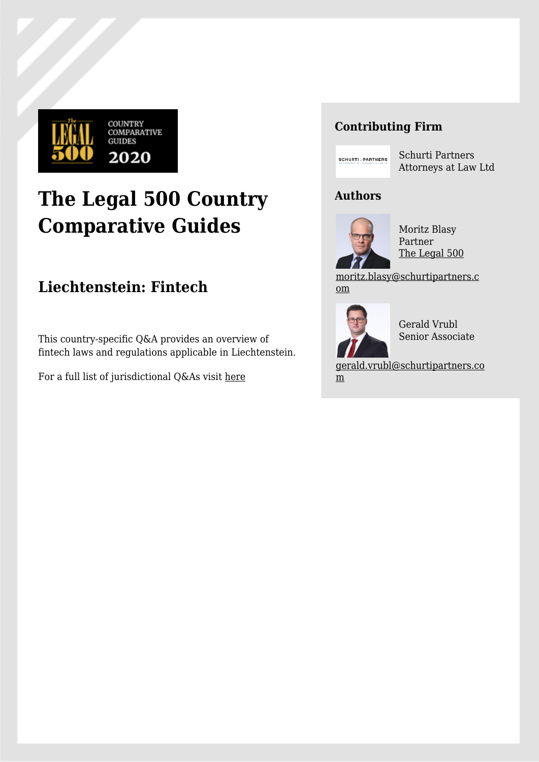

# **The Legal 500 Country Comparative Guides**

# **Liechtenstein: Fintech**

This country-specific Q&A provides an overview of fintech laws and regulations applicable in Liechtenstein.

For a full list of jurisdictional Q&As visit [here](https://www.legal500.com/guides/)

## **Contributing Firm**



Schurti Partners Attorneys at Law Ltd

### **Authors**



Moritz Blasy Partner [The Legal 500](https://www.legal500.com/firms/11889-schurti-partners-attorneys-at-law-ltd/12980-vaduz-liechtenstein/lawyers/-moritz-blasy/)

[moritz.blasy@schurtipartners.c](mailto:moritz.blasy@schurtipartners.com) [om](mailto:moritz.blasy@schurtipartners.com)



Gerald Vrubl Senior Associate

[gerald.vrubl@schurtipartners.co](mailto:gerald.vrubl@schurtipartners.com) [m](mailto:gerald.vrubl@schurtipartners.com)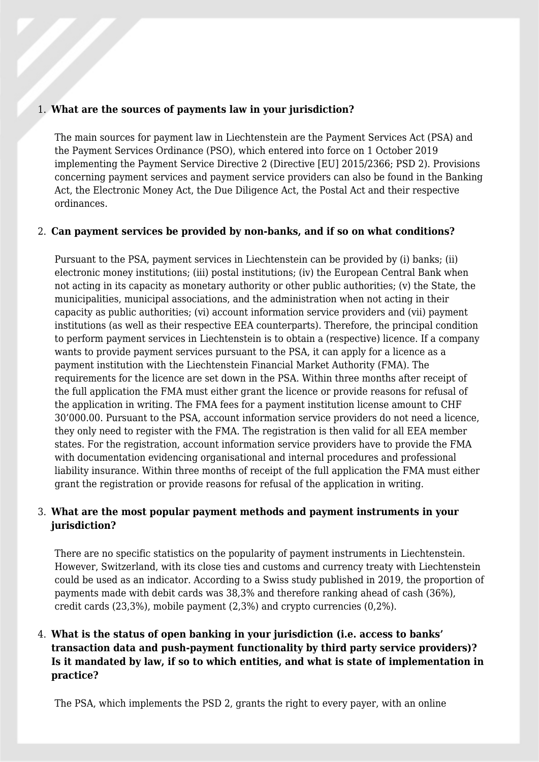#### 1. **What are the sources of payments law in your jurisdiction?**

The main sources for payment law in Liechtenstein are the Payment Services Act (PSA) and the Payment Services Ordinance (PSO), which entered into force on 1 October 2019 implementing the Payment Service Directive 2 (Directive [EU] 2015/2366; PSD 2). Provisions concerning payment services and payment service providers can also be found in the Banking Act, the Electronic Money Act, the Due Diligence Act, the Postal Act and their respective ordinances.

#### 2. **Can payment services be provided by non-banks, and if so on what conditions?**

Pursuant to the PSA, payment services in Liechtenstein can be provided by (i) banks; (ii) electronic money institutions; (iii) postal institutions; (iv) the European Central Bank when not acting in its capacity as monetary authority or other public authorities; (v) the State, the municipalities, municipal associations, and the administration when not acting in their capacity as public authorities; (vi) account information service providers and (vii) payment institutions (as well as their respective EEA counterparts). Therefore, the principal condition to perform payment services in Liechtenstein is to obtain a (respective) licence. If a company wants to provide payment services pursuant to the PSA, it can apply for a licence as a payment institution with the Liechtenstein Financial Market Authority (FMA). The requirements for the licence are set down in the PSA. Within three months after receipt of the full application the FMA must either grant the licence or provide reasons for refusal of the application in writing. The FMA fees for a payment institution license amount to CHF 30'000.00. Pursuant to the PSA, account information service providers do not need a licence, they only need to register with the FMA. The registration is then valid for all EEA member states. For the registration, account information service providers have to provide the FMA with documentation evidencing organisational and internal procedures and professional liability insurance. Within three months of receipt of the full application the FMA must either grant the registration or provide reasons for refusal of the application in writing.

#### 3. **What are the most popular payment methods and payment instruments in your jurisdiction?**

There are no specific statistics on the popularity of payment instruments in Liechtenstein. However, Switzerland, with its close ties and customs and currency treaty with Liechtenstein could be used as an indicator. According to a Swiss study published in 2019, the proportion of payments made with debit cards was 38,3% and therefore ranking ahead of cash (36%), credit cards (23,3%), mobile payment (2,3%) and crypto currencies (0,2%).

#### 4. **What is the status of open banking in your jurisdiction (i.e. access to banks' transaction data and push-payment functionality by third party service providers)? Is it mandated by law, if so to which entities, and what is state of implementation in practice?**

The PSA, which implements the PSD 2, grants the right to every payer, with an online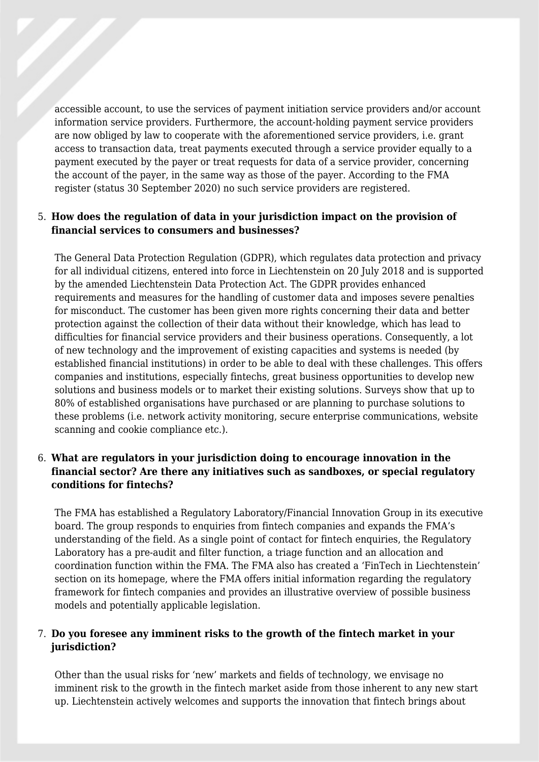accessible account, to use the services of payment initiation service providers and/or account information service providers. Furthermore, the account-holding payment service providers are now obliged by law to cooperate with the aforementioned service providers, i.e. grant access to transaction data, treat payments executed through a service provider equally to a payment executed by the payer or treat requests for data of a service provider, concerning the account of the payer, in the same way as those of the payer. According to the FMA register (status 30 September 2020) no such service providers are registered.

#### 5. **How does the regulation of data in your jurisdiction impact on the provision of financial services to consumers and businesses?**

The General Data Protection Regulation (GDPR), which regulates data protection and privacy for all individual citizens, entered into force in Liechtenstein on 20 July 2018 and is supported by the amended Liechtenstein Data Protection Act. The GDPR provides enhanced requirements and measures for the handling of customer data and imposes severe penalties for misconduct. The customer has been given more rights concerning their data and better protection against the collection of their data without their knowledge, which has lead to difficulties for financial service providers and their business operations. Consequently, a lot of new technology and the improvement of existing capacities and systems is needed (by established financial institutions) in order to be able to deal with these challenges. This offers companies and institutions, especially fintechs, great business opportunities to develop new solutions and business models or to market their existing solutions. Surveys show that up to 80% of established organisations have purchased or are planning to purchase solutions to these problems (i.e. network activity monitoring, secure enterprise communications, website scanning and cookie compliance etc.).

#### 6. **What are regulators in your jurisdiction doing to encourage innovation in the financial sector? Are there any initiatives such as sandboxes, or special regulatory conditions for fintechs?**

The FMA has established a Regulatory Laboratory/Financial Innovation Group in its executive board. The group responds to enquiries from fintech companies and expands the FMA's understanding of the field. As a single point of contact for fintech enquiries, the Regulatory Laboratory has a pre-audit and filter function, a triage function and an allocation and coordination function within the FMA. The FMA also has created a 'FinTech in Liechtenstein' section on its homepage, where the FMA offers initial information regarding the regulatory framework for fintech companies and provides an illustrative overview of possible business models and potentially applicable legislation.

#### 7. **Do you foresee any imminent risks to the growth of the fintech market in your jurisdiction?**

Other than the usual risks for 'new' markets and fields of technology, we envisage no imminent risk to the growth in the fintech market aside from those inherent to any new start up. Liechtenstein actively welcomes and supports the innovation that fintech brings about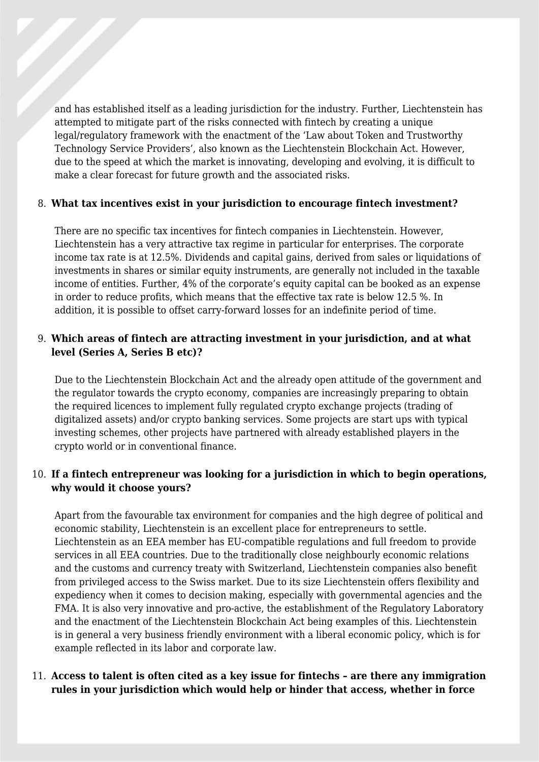and has established itself as a leading jurisdiction for the industry. Further, Liechtenstein has attempted to mitigate part of the risks connected with fintech by creating a unique legal/regulatory framework with the enactment of the 'Law about Token and Trustworthy Technology Service Providers', also known as the Liechtenstein Blockchain Act. However, due to the speed at which the market is innovating, developing and evolving, it is difficult to make a clear forecast for future growth and the associated risks.

#### 8. **What tax incentives exist in your jurisdiction to encourage fintech investment?**

There are no specific tax incentives for fintech companies in Liechtenstein. However, Liechtenstein has a very attractive tax regime in particular for enterprises. The corporate income tax rate is at 12.5%. Dividends and capital gains, derived from sales or liquidations of investments in shares or similar equity instruments, are generally not included in the taxable income of entities. Further, 4% of the corporate's equity capital can be booked as an expense in order to reduce profits, which means that the effective tax rate is below 12.5 %. In addition, it is possible to offset carry-forward losses for an indefinite period of time.

#### 9. **Which areas of fintech are attracting investment in your jurisdiction, and at what level (Series A, Series B etc)?**

Due to the Liechtenstein Blockchain Act and the already open attitude of the government and the regulator towards the crypto economy, companies are increasingly preparing to obtain the required licences to implement fully regulated crypto exchange projects (trading of digitalized assets) and/or crypto banking services. Some projects are start ups with typical investing schemes, other projects have partnered with already established players in the crypto world or in conventional finance.

#### 10. **If a fintech entrepreneur was looking for a jurisdiction in which to begin operations, why would it choose yours?**

Apart from the favourable tax environment for companies and the high degree of political and economic stability, Liechtenstein is an excellent place for entrepreneurs to settle. Liechtenstein as an EEA member has EU-compatible regulations and full freedom to provide services in all EEA countries. Due to the traditionally close neighbourly economic relations and the customs and currency treaty with Switzerland, Liechtenstein companies also benefit from privileged access to the Swiss market. Due to its size Liechtenstein offers flexibility and expediency when it comes to decision making, especially with governmental agencies and the FMA. It is also very innovative and pro-active, the establishment of the Regulatory Laboratory and the enactment of the Liechtenstein Blockchain Act being examples of this. Liechtenstein is in general a very business friendly environment with a liberal economic policy, which is for example reflected in its labor and corporate law.

#### 11. **Access to talent is often cited as a key issue for fintechs – are there any immigration rules in your jurisdiction which would help or hinder that access, whether in force**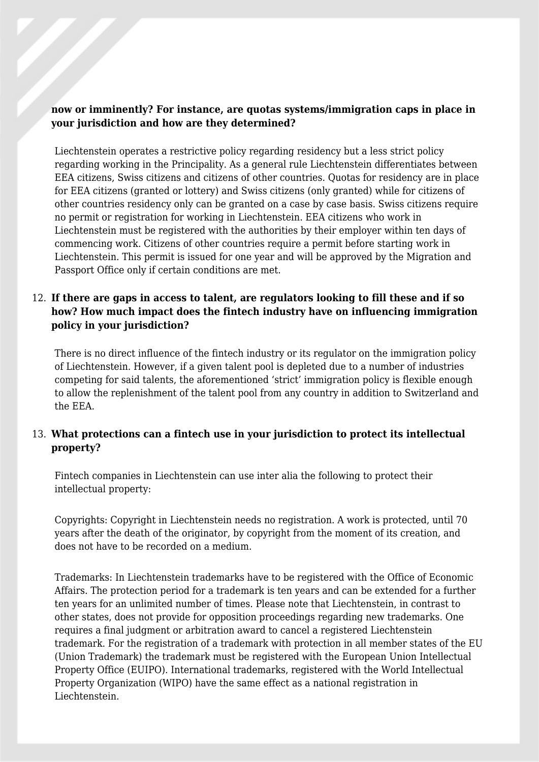#### **now or imminently? For instance, are quotas systems/immigration caps in place in your jurisdiction and how are they determined?**

Liechtenstein operates a restrictive policy regarding residency but a less strict policy regarding working in the Principality. As a general rule Liechtenstein differentiates between EEA citizens, Swiss citizens and citizens of other countries. Quotas for residency are in place for EEA citizens (granted or lottery) and Swiss citizens (only granted) while for citizens of other countries residency only can be granted on a case by case basis. Swiss citizens require no permit or registration for working in Liechtenstein. EEA citizens who work in Liechtenstein must be registered with the authorities by their employer within ten days of commencing work. Citizens of other countries require a permit before starting work in Liechtenstein. This permit is issued for one year and will be approved by the Migration and Passport Office only if certain conditions are met.

#### 12. **If there are gaps in access to talent, are regulators looking to fill these and if so how? How much impact does the fintech industry have on influencing immigration policy in your jurisdiction?**

There is no direct influence of the fintech industry or its regulator on the immigration policy of Liechtenstein. However, if a given talent pool is depleted due to a number of industries competing for said talents, the aforementioned 'strict' immigration policy is flexible enough to allow the replenishment of the talent pool from any country in addition to Switzerland and the EEA.

#### 13. **What protections can a fintech use in your jurisdiction to protect its intellectual property?**

Fintech companies in Liechtenstein can use inter alia the following to protect their intellectual property:

Copyrights: Copyright in Liechtenstein needs no registration. A work is protected, until 70 years after the death of the originator, by copyright from the moment of its creation, and does not have to be recorded on a medium.

Trademarks: In Liechtenstein trademarks have to be registered with the Office of Economic Affairs. The protection period for a trademark is ten years and can be extended for a further ten years for an unlimited number of times. Please note that Liechtenstein, in contrast to other states, does not provide for opposition proceedings regarding new trademarks. One requires a final judgment or arbitration award to cancel a registered Liechtenstein trademark. For the registration of a trademark with protection in all member states of the EU (Union Trademark) the trademark must be registered with the European Union Intellectual Property Office (EUIPO). International trademarks, registered with the World Intellectual Property Organization (WIPO) have the same effect as a national registration in Liechtenstein.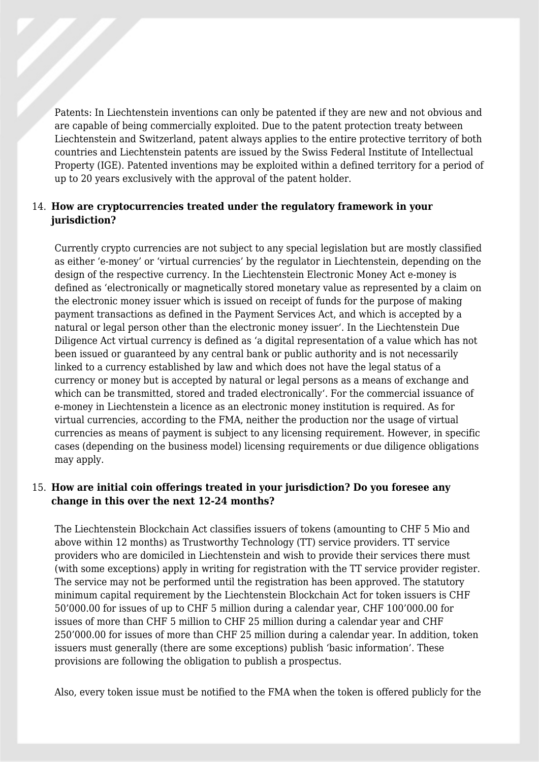Patents: In Liechtenstein inventions can only be patented if they are new and not obvious and are capable of being commercially exploited. Due to the patent protection treaty between Liechtenstein and Switzerland, patent always applies to the entire protective territory of both countries and Liechtenstein patents are issued by the Swiss Federal Institute of Intellectual Property (IGE). Patented inventions may be exploited within a defined territory for a period of up to 20 years exclusively with the approval of the patent holder.

#### 14. **How are cryptocurrencies treated under the regulatory framework in your jurisdiction?**

Currently crypto currencies are not subject to any special legislation but are mostly classified as either 'e-money' or 'virtual currencies' by the regulator in Liechtenstein, depending on the design of the respective currency. In the Liechtenstein Electronic Money Act e-money is defined as 'electronically or magnetically stored monetary value as represented by a claim on the electronic money issuer which is issued on receipt of funds for the purpose of making payment transactions as defined in the Payment Services Act, and which is accepted by a natural or legal person other than the electronic money issuer'. In the Liechtenstein Due Diligence Act virtual currency is defined as 'a digital representation of a value which has not been issued or guaranteed by any central bank or public authority and is not necessarily linked to a currency established by law and which does not have the legal status of a currency or money but is accepted by natural or legal persons as a means of exchange and which can be transmitted, stored and traded electronically'. For the commercial issuance of e-money in Liechtenstein a licence as an electronic money institution is required. As for virtual currencies, according to the FMA, neither the production nor the usage of virtual currencies as means of payment is subject to any licensing requirement. However, in specific cases (depending on the business model) licensing requirements or due diligence obligations may apply.

#### 15. **How are initial coin offerings treated in your jurisdiction? Do you foresee any change in this over the next 12-24 months?**

The Liechtenstein Blockchain Act classifies issuers of tokens (amounting to CHF 5 Mio and above within 12 months) as Trustworthy Technology (TT) service providers. TT service providers who are domiciled in Liechtenstein and wish to provide their services there must (with some exceptions) apply in writing for registration with the TT service provider register. The service may not be performed until the registration has been approved. The statutory minimum capital requirement by the Liechtenstein Blockchain Act for token issuers is CHF 50'000.00 for issues of up to CHF 5 million during a calendar year, CHF 100'000.00 for issues of more than CHF 5 million to CHF 25 million during a calendar year and CHF 250'000.00 for issues of more than CHF 25 million during a calendar year. In addition, token issuers must generally (there are some exceptions) publish 'basic information'. These provisions are following the obligation to publish a prospectus.

Also, every token issue must be notified to the FMA when the token is offered publicly for the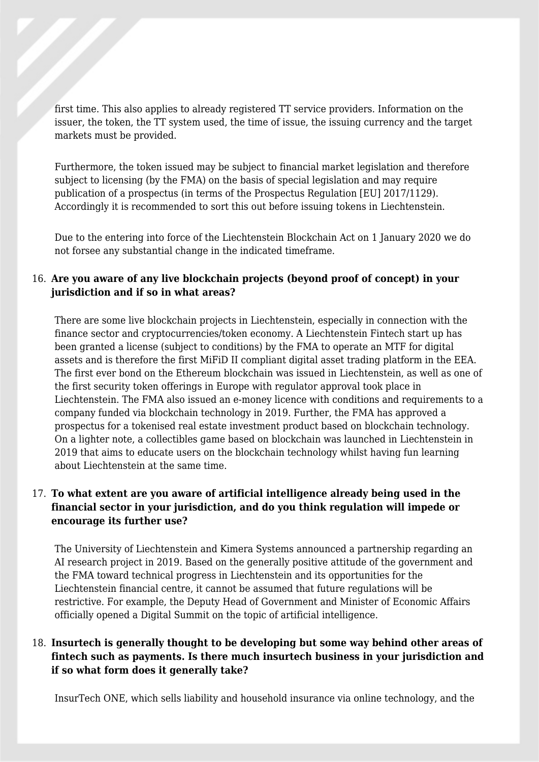first time. This also applies to already registered TT service providers. Information on the issuer, the token, the TT system used, the time of issue, the issuing currency and the target markets must be provided.

Furthermore, the token issued may be subject to financial market legislation and therefore subject to licensing (by the FMA) on the basis of special legislation and may require publication of a prospectus (in terms of the Prospectus Regulation [EU] 2017/1129). Accordingly it is recommended to sort this out before issuing tokens in Liechtenstein.

Due to the entering into force of the Liechtenstein Blockchain Act on 1 January 2020 we do not forsee any substantial change in the indicated timeframe.

#### 16. **Are you aware of any live blockchain projects (beyond proof of concept) in your jurisdiction and if so in what areas?**

There are some live blockchain projects in Liechtenstein, especially in connection with the finance sector and cryptocurrencies/token economy. A Liechtenstein Fintech start up has been granted a license (subject to conditions) by the FMA to operate an MTF for digital assets and is therefore the first MiFiD II compliant digital asset trading platform in the EEA. The first ever bond on the Ethereum blockchain was issued in Liechtenstein, as well as one of the first security token offerings in Europe with regulator approval took place in Liechtenstein. The FMA also issued an e-money licence with conditions and requirements to a company funded via blockchain technology in 2019. Further, the FMA has approved a prospectus for a tokenised real estate investment product based on blockchain technology. On a lighter note, a collectibles game based on blockchain was launched in Liechtenstein in 2019 that aims to educate users on the blockchain technology whilst having fun learning about Liechtenstein at the same time.

#### 17. **To what extent are you aware of artificial intelligence already being used in the financial sector in your jurisdiction, and do you think regulation will impede or encourage its further use?**

The University of Liechtenstein and Kimera Systems announced a partnership regarding an AI research project in 2019. Based on the generally positive attitude of the government and the FMA toward technical progress in Liechtenstein and its opportunities for the Liechtenstein financial centre, it cannot be assumed that future regulations will be restrictive. For example, the Deputy Head of Government and Minister of Economic Affairs officially opened a Digital Summit on the topic of artificial intelligence.

#### 18. **Insurtech is generally thought to be developing but some way behind other areas of fintech such as payments. Is there much insurtech business in your jurisdiction and if so what form does it generally take?**

InsurTech ONE, which sells liability and household insurance via online technology, and the